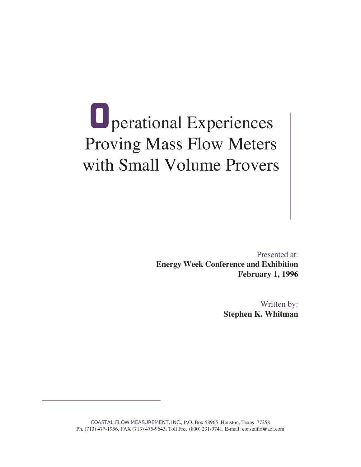## **O**perational Experiences Presented at:with Small Volume Provers

Presented at: **Energy Week Conference and Exhibition February 1, 1996**

> Written by: **Stephen K. Whitman**

Written by:

COASTAL FLOW MEASUREMENT, INC., P.O. Box 58965 Houston, Texas 77258 Ph. (713) 477-1956, FAX (713) 475-9643, Toll Free (800) 231-9741, E-mail: coastalflo@aol.com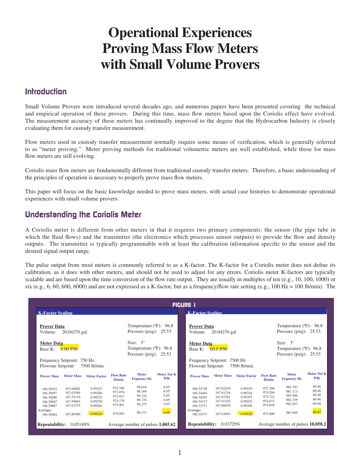#### **Operational Experiences Proving Mass Flow Meters. with Small Volume Provers** The measurement accuracy of these meters meters has continued to the Hydrocarbon Industry in  $\mathbf{F}$ evaluating them for custody transfer measurement. with china weters in custom in custom measurement normally require some measurement of verification, which is generally referred.

#### **Introduction**

Small Volume Provers were introduced several decades ago, and numerous papers have been presented covering the technical and empirical operation of these provers. During this time, mass flow meters based upon the Coriolis effect have evolved. The measurement accuracy of these meters has continually improved to the degree that the Hydrocarbon Industry is closely evaluating them for custody transfer measurement.

Flow meters used in custody transfer measurement normally require some means of verification, which is generally referred to as "meter proving." Meter proving methods for traditional volumetric meters are well established, while those for mass flow meters are still evolving.

Coriolis mass flow meters are fundamentally different from traditional custody transfer meters. Therefore, a basic understanding of the principles of operation is necessary to properly prove mass flow meters. Coriolis mass flow meters are fundamentally different from traditional custody transfer meters. Therefore, a basic understanding of

This paper will focus on the basic knowledge needed to prove mass meters, with actual case histories to demonstrate operational experiences with small volume provers.  $\overline{C}$ 

### **Understanding the Coriolis Meter** and are not expressed as a frequency/flow rate setting (e.g., 100 Hz  $\alpha$

Base K: 6.00 P/lb

A Coriolis meter is different from other meters in that it requires two primary components: the sensor (the pipe tube in which the fluid flows) and the transmitter (the electronics which processes sensor outputs) to provide the flow and density outputs. The transmitter is typically programmable with at least the calibration information specific to the sensor and the desired signal output range.

Thromy referred to as a K factor. The K factor for a Corons meter does not define to ation, as it does with other meters, and should not be used to adjust for any errors. Coriolis meter K-factors are typically scalable and are based upon the time conversion of the flow rate output. They are usually in multiples of ten (e.g., 10, 100, 1000) or essed as a K-factor, but as a frequency/flow rate setting (e.g.,  $100 \text{ Hz} = 100 \text{ lb/min}$ ). The Temperature (ºF): 96.8Temperature (ºF): 96.8

| <b>FIGURE 1</b>                                                                                                                                                                       |                                                                                                                                               |                                                                                                                                                                                                                                                                                                                                                  |  |  |  |  |  |
|---------------------------------------------------------------------------------------------------------------------------------------------------------------------------------------|-----------------------------------------------------------------------------------------------------------------------------------------------|--------------------------------------------------------------------------------------------------------------------------------------------------------------------------------------------------------------------------------------------------------------------------------------------------------------------------------------------------|--|--|--|--|--|
| <b>K-Factor Scaling</b>                                                                                                                                                               |                                                                                                                                               | <b>K-Factor Scaling</b>                                                                                                                                                                                                                                                                                                                          |  |  |  |  |  |
| <b>Prover Data</b><br>20.04270 gal<br>Volume:                                                                                                                                         | Temperature (°F): 96.8<br>Pressure (psig): $25.53$                                                                                            | Temperature (°F): 96.8<br><b>Prover Data</b><br>Pressure (psig): $25.53$<br>20.04270 gal<br>Volume:                                                                                                                                                                                                                                              |  |  |  |  |  |
| <b>Meter Data</b><br>$6.00$ P/lb<br>Base K:                                                                                                                                           | Size: $3"$<br>Temperature (°F): 96.8<br>Pressure (psig): $25.53$                                                                              | Size: $3"$<br><b>Meter Data</b><br>Temperature (°F): 96.8<br>$60.0$ P/lb<br>Base K:<br>Pressure (psig): $25.53$                                                                                                                                                                                                                                  |  |  |  |  |  |
| Frequency Setpoint: 750 Hz<br>Flowrate Setpoint:<br>7500 lb/min.                                                                                                                      |                                                                                                                                               | Frequency Setpoint: 7500 Hz<br><b>Flowrate Setpoint:</b><br>7500 lb/min.                                                                                                                                                                                                                                                                         |  |  |  |  |  |
| <b>Meter Mass</b><br><b>Prover Mass</b><br><b>Meter Factor</b>                                                                                                                        | <b>Meter</b><br>Meter Net K<br><b>Flow Rate</b><br>P/1 <sub>b</sub><br><b>Fequency Hz</b><br>lb/min                                           | Meter Net K<br><b>Meter</b><br><b>Flow Rate</b><br><b>Meter Mass</b><br><b>Meter Factor</b><br><b>Prover Mass</b><br>P/1 <sub>b</sub><br><b>Fequency Hz</b><br>lb/min                                                                                                                                                                            |  |  |  |  |  |
| 167.60882<br>0.99223<br>166.30703<br>167.63564<br>0.99206<br>166.30497<br>167.55110<br>0.99255<br>166.30286<br>167.59063<br>166.30047<br>0.99230<br>167.63279<br>0.99204<br>166.29887 | 6.05<br>98.018<br>972.546<br>6.05<br>98.169<br>973.876<br>6.05<br>98.124<br>973.913<br>6.05<br>98.176<br>974.179<br>6.05<br>98.375<br>975.901 | 60.46<br>982.787<br>975.288<br>167.62244<br>166.34738<br>0.99239<br>60.46<br>981.713<br>974.264<br>167.61218<br>166.34444<br>0.99244<br>60.48<br>983.546<br>975.721<br>167.67281<br>0.99207<br>166.34291<br>60.46<br>982.339<br>974.873<br>167.61102<br>0.99242<br>166.34123<br>60.48<br>982.657<br>167.66470<br>974.856<br>0.99209<br>166.33771 |  |  |  |  |  |
| Average:<br>0.99224<br>167.60380<br>166.30284<br><b>Repeatability:</b><br>0.05140\%                                                                                                   | 6.05<br>98.173<br>974.083<br>Average number of pulses 1,005.62                                                                                | 60.47<br>Average:<br>982.609<br>0.99228<br>975.000<br>167.63663<br>166.34273<br>Repeatability:<br>$0.03729\%$<br>Average number of pulses 10,058.2                                                                                                                                                                                               |  |  |  |  |  |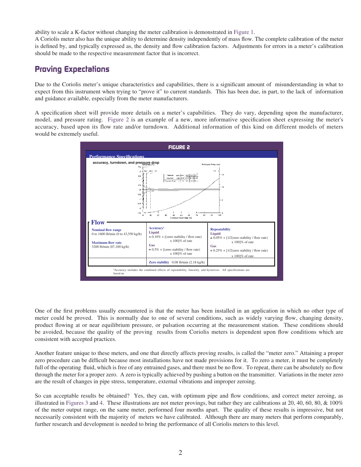ability to scale a K-factor without changing the meter calibration is demonstrated in Figure 1. ć

A Coriolis meter also has the unique ability to determine density independently of mass flow. The complete calibration of the meter is defined by, and typically expressed as, the density and flow calibration factors. Adjustments for errors in a meter's calibration should be made to the respective measurement factor that is incorrect.

#### **Proving Expectations**

Due to the Coriolis meter's unique characteristics and capabilities, there is a significant amount of misunderstanding in what to expect from this instrument when trying to "prove it" to current standards. This has been due, in part, to the lack of information and guidance available, especially from the meter manufacturers. is defined by, and typically expressed as, the density and flow calibration factors. Adjustments for errors in a meter's calibration should be made to the respective measurement factor that is incorrect.<br> **Proving Expectat** 

A specification sheet will provide more details on a meter's capabilities. They do vary, depending upon the manufacturer, model, and pressure rating. Figure 2 is an example of a new, more informative specification sheet expressing the meter's accuracy, based upon its flow rate and/or turndown. Additional information of this kind on different models of meters would be extremely useful.



One of the first problems usually encountered is that the meter has been installed in an application in which no other type of meter could be proved. This is normally due to one of several conditions, such as widely varying flow, changing density, product flowing at or near equilibrium pressure, or pulsation occurring at the measurement station. These conditions should be avoided, because the quality of the proving results from Coriolis meters is dependent upon flow conditions which are consistent with accepted practices.

Another feature unique to these meters, and one that directly affects proving results, is called the "meter zero." Attaining a proper zero procedure can be difficult because most installations have not made provisions for it. To zero a meter, it must be completely s, and there must be no flow. To repeat, there can be absolutely no flow through the meter for a proper zero. A zero is typically achieved by pushing a button on the transmitter. Variations in the meter zero are the result of changes in pipe stress, temperature, external vibrations and improper zeroing.

So can acceptable results be obtained? Yes, they can, with optimum pipe and flow conditions, and correct meter zeroing, as illustrated in Figures 3 and 4. These illustrations are not meter provings, but rather they are calibrations at 20, 40, 60, 80, & 100% of the meter output range, on the same meter, performed four months apart. The quality of these results is impressive, but not necessarily consistent with the majority of meters we have calibrated. Although there are many meters that perform comparably, further research and development is needed to bring the performance of all Coriolis meters to this level.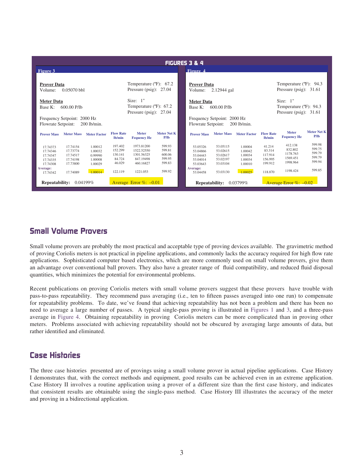| <b>FIGURES 3 &amp; 4</b>                                                                                                                                                    |                                                                                                                                                                         |                                                                                                                                                                             |                                                                                                                                                               |  |  |  |
|-----------------------------------------------------------------------------------------------------------------------------------------------------------------------------|-------------------------------------------------------------------------------------------------------------------------------------------------------------------------|-----------------------------------------------------------------------------------------------------------------------------------------------------------------------------|---------------------------------------------------------------------------------------------------------------------------------------------------------------|--|--|--|
| Figure 3                                                                                                                                                                    |                                                                                                                                                                         | Fioure 4                                                                                                                                                                    |                                                                                                                                                               |  |  |  |
| <b>Prover Data</b><br>$0.05070$ bbl<br>Volume:                                                                                                                              | Temperature $(^{\circ}F)$ : 67.2<br>Pressure (psig): $27.04$                                                                                                            | <b>Prover Data</b><br>2.12944 gal<br>Volume:                                                                                                                                | Temperature (°F): 94.3<br>Pressure (psig): $31.61$                                                                                                            |  |  |  |
| <b>Meter Data</b><br>$600.00$ P/lb<br>Base K:                                                                                                                               | Size: $1"$<br>Temperature (°F): 67.2<br>Pressure (psig): $27.04$                                                                                                        | <b>Meter Data</b><br>Base K: 600.00 P/lb                                                                                                                                    | Size: $1"$<br>Temperature (°F): 94.3<br>Pressure (psig): $31.61$                                                                                              |  |  |  |
| Frequency Setpoint: 2000 Hz<br>Flowrate Setpoint:<br>$200$ lb/min.                                                                                                          |                                                                                                                                                                         | Frequency Setpoint: 2000 Hz<br>Flowrate Setpoint:<br>$200$ lb/min.                                                                                                          |                                                                                                                                                               |  |  |  |
| <b>Meter Mass</b><br><b>Prover Mass</b><br><b>Meter Factor</b>                                                                                                              | Meter Net K<br><b>Flow Rate</b><br><b>Meter</b><br>lb/min<br>P/1 <sub>b</sub><br><b>Fequency Hz</b>                                                                     | <b>Meter Mass</b><br><b>Meter Factor</b><br><b>Prover Mass</b>                                                                                                              | Meter Net K<br><b>Meter</b><br><b>Flow Rate</b><br>P/1 <sub>b</sub><br><b>Fequency Hz</b><br>lb/min                                                           |  |  |  |
| 17.74154<br>1.00012<br>17.74373<br>17.73774<br>1.00032<br>17.74346<br>17.74517<br>17.74347<br>0.99990<br>17.74198<br>1.00008<br>17.74335<br>17.73800<br>17.74308<br>1.00029 | 197.402<br>599.93<br>1973.81200<br>599.81<br>152.299<br>1522.52550<br>600.06<br>130.141<br>1301.56325<br>84.724<br>847.19498<br>599.95<br>46.029<br>599.83<br>460.16827 | 53.05115<br>1.00004<br>53.05326<br>53.02615<br>53.04866<br>1.00042<br>53.02617<br>1.00034<br>53.04443<br>53.02197<br>1.00034<br>53.04014<br>53.03104<br>1.00010<br>53.03643 | 599.98<br>412.138<br>41.214<br>599.75<br>832.802<br>83.314<br>599.79<br>1178.763<br>117.914<br>599.79<br>1569.451<br>156.995<br>599.94<br>1998.964<br>199.912 |  |  |  |
| Average:<br>1.00014<br>17.74089<br>17.74342                                                                                                                                 | 599.92<br>122.119<br>1221.053                                                                                                                                           | Average:<br>1,00025<br>53.03130<br>53.04458                                                                                                                                 | 599.85<br>1198.424<br>118.870                                                                                                                                 |  |  |  |
| <b>Repeatability:</b><br>0.04199%                                                                                                                                           | Average Error $\%$ : $-0.01$                                                                                                                                            | Repeatability:<br>0.03799%                                                                                                                                                  | Average Error $\%$ : -0.02                                                                                                                                    |  |  |  |

### **for repeated in the problems. To date, we found that achieving repeated in the problems. To date, we found that achieving repeated in the problem and that achieving repeated in the problem and there has been not been not**

Small volume provers are probably the most practical and acceptable type of proving devices available. The gravimetric method of proving Coriolis meters is not practical in pipeline applications, and commonly lacks the accuracy required for high flow rate applications. Sophisticated computer based electronics, which are more commonly used on small volume provers, give them an advantage over conventional ball provers. They also have a greater range of fluid compatibility, and reduced fluid disposal

Recent publications on proving Coriolis meters with small volume provers suggest that these provers have trouble with pass-to-pass repeatability. They recommend pass averaging (i.e., ten to inteen passes averaged into one run) to compensate I demonstrate that the correct methods we we compute that achieving repeatablity has not been a problem and there has been no need to average a large number of passes. A typical single-pass proving is illustrated in Figures 1 and 3, and a three-pass need to average a rarge number of passes. A typical single-pass proving is must alled in Figures 1 and 3, and a three-pass<br>average in Figure 4. Obtaining repeatability in proving Coriolis meters can be more complicated tha meters. Problems associated will achieving repeatablity should not be obscured by averaging large amounts of data, but average in Figure 4. Obtaining tepeatablity in proving Corrollis meters can be more complicated than in proving other

#### **Case Histories**

all volume prover in actual pipeline applications. Case History I demonstrates that, with the correct methods and equipment, good results can be achieved even in an extreme application. Case History II involves a routine application using a prover of a different size than the first case history, and indicates that consistent results are obtainable using the single-pass method. Case History III illustrates the accuracy of the meter and proving in a bidirectional application.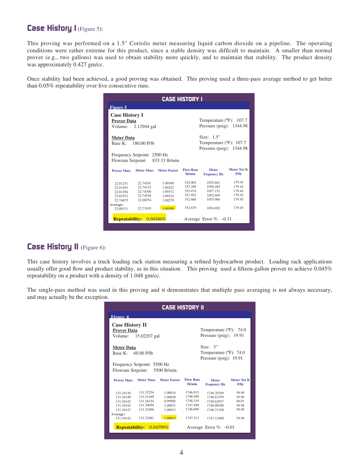#### **Case History I** (Figure 5):

This proving was performed on a 1.5" Coriolis meter measuring liquid carbon dioxide on a pipeline. The operating conditions were rather extreme for this product, since a stable density was difficult to maintain. A smaller than normal prover (e.g., two gallons) was used to obtain stability more quickly, and to maintain that stability. The product density was approximately 0.427 gm/cc.

proving used a three-pass average method to get better onsecutive runs.

| <b>CASE HISTORY I</b>                       |                             |                                   |                            |                                                                        |                            |
|---------------------------------------------|-----------------------------|-----------------------------------|----------------------------|------------------------------------------------------------------------|----------------------------|
| Figure 5                                    |                             |                                   |                            |                                                                        |                            |
| <b>Case History I</b><br><b>Prover Data</b> |                             |                                   |                            | Temperature ( $\textdegree$ F): 107.7                                  |                            |
| Volume:                                     | 2.12944 gal                 |                                   |                            | Pressure (psig): $1344.98$                                             |                            |
| <b>Meter Data</b><br>Base K:                | 180.00 P/lb                 |                                   |                            | Size: $1.5$ "<br>Temperature (°F): 107.7<br>Pressure (psig): $1344.98$ |                            |
|                                             | Frequency Setpoint: 2500 Hz |                                   |                            |                                                                        |                            |
|                                             |                             | Flowrate Setpoint: 833.33 lb/min. |                            |                                                                        |                            |
| <b>Prover Mass</b>                          |                             | Meter Mass Meter Factor           | <b>Flow Rate</b><br>lb/min | <b>Meter</b><br><b>Fequency Hz</b>                                     | <b>Meter Net K</b><br>P/lb |
| 22.81231                                    | 22.74201                    | 1.00309                           | 352.003                    | 1052.861                                                               | 179.45                     |
| 22.81443                                    | 22.74123                    | 1.00322                           | 353.280                    | 1056.465                                                               | 179.42                     |
| 22.81394                                    | 22.74300                    | 1.00312                           | 353.474                    | 1057.151                                                               | 179.44                     |
| 22.81912                                    | 22.74536                    | 1.00324                           | 351.952                    | 1052.469                                                               | 179.42                     |
| 22.74675                                    | 22.68354                    | 1.00279                           | 352.660                    | 1055.066                                                               | 179.50                     |
| Average:<br>22.80131                        | 22.73103                    | 1.00309                           | 352.679                    | 1054.802                                                               | 179.45                     |
|                                             | Repeatability: 0.04486%     |                                   |                            | Average Error $\%$ : -0.31                                             |                            |

# **Case History II** (Figure 6):

 $S(1,0)$  is 1.040 gined.  $T_{\text{C}}$  and  $\alpha$  investigation proves to active  $\alpha$  orders This case history involves a truck loading rack station measuring a refined hydrocarbon product. Loading rack applications

that multiple pass averaging is not always necessary, Temperature (ºF): 74.0and may actually be the exception. Pressure (psig): 19.91

| <b>CASE HISTORY II</b>                                                                 |                                                                            |                                                                |                                                                      |                                                                                  |                                                    |  |
|----------------------------------------------------------------------------------------|----------------------------------------------------------------------------|----------------------------------------------------------------|----------------------------------------------------------------------|----------------------------------------------------------------------------------|----------------------------------------------------|--|
| Figure 6                                                                               |                                                                            |                                                                |                                                                      |                                                                                  |                                                    |  |
| <b>Case History II</b><br>Prover Data<br>Volume:                                       | 15.02207 gal                                                               |                                                                | Temperature (°F): 74.0<br>Pressure (psig): $19.91$                   |                                                                                  |                                                    |  |
| <b>Meter Data</b><br>Base K:                                                           | $60.00$ P/lb                                                               |                                                                |                                                                      | Size: 3"<br>Temperature (°F): 74.0<br>Pressure (psig): $19.91$                   |                                                    |  |
| Frequency Setpoint: 5500 Hz<br>Flowrate Setpoint: 5500 lb/min.                         |                                                                            |                                                                |                                                                      |                                                                                  |                                                    |  |
| <b>Prover Mass</b>                                                                     | <b>Meter Mass</b>                                                          | <b>Meter Factor</b>                                            | <b>Flow Rate</b><br>Ib/min                                           | <b>Meter</b><br><b>Fequency Hz</b>                                               | Meter Net K<br>P/1 <sub>b</sub>                    |  |
| 131.34136<br>131.34140<br>131.34142<br>131.34144<br>131.34147<br>Average:<br>131.34142 | 131.32254<br>131.31449<br>131.36154<br>131.30050<br>131.32496<br>131.32481 | 1.00014<br>1.00020<br>0.99985<br>1.00031<br>1.00013<br>1 00013 | 1746.915<br>1746.949<br>1748.319<br>1747.490<br>1746.890<br>1747.313 | 1746.70769<br>1746.63359<br>1748.62937<br>1746.98788<br>1746.71358<br>1747.13400 | 59.99<br>59.99<br>60.01<br>59.98<br>59.99<br>59.99 |  |
|                                                                                        | <b>Repeatability:</b> $0.04599\%$<br>Average Error $\%$ : $-0.01$          |                                                                |                                                                      |                                                                                  |                                                    |  |